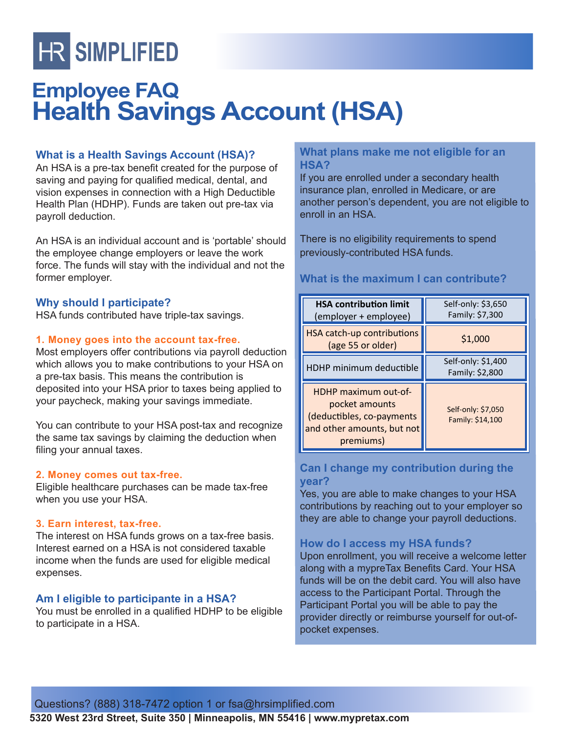# **HR SIMPLIFIED**

# **Employee FAQ Health Savings Account (HSA)**

# **What is a Health Savings Account (HSA)?**

An HSA is a pre-tax benefit created for the purpose of saving and paying for qualified medical, dental, and vision expenses in connection with a High Deductible Health Plan (HDHP). Funds are taken out pre-tax via payroll deduction.

An HSA is an individual account and is 'portable' should the employee change employers or leave the work force. The funds will stay with the individual and not the former employer.

#### **Why should I participate?**

HSA funds contributed have triple-tax savings.

#### **1. Money goes into the account tax-free.**

Most employers offer contributions via payroll deduction which allows you to make contributions to your HSA on a pre-tax basis. This means the contribution is deposited into your HSA prior to taxes being applied to your paycheck, making your savings immediate.

You can contribute to your HSA post-tax and recognize the same tax savings by claiming the deduction when filing your annual taxes.

#### **2. Money comes out tax-free.**

Eligible healthcare purchases can be made tax-free when you use your HSA.

#### **3. Earn interest, tax-free.**

The interest on HSA funds grows on a tax-free basis. Interest earned on a HSA is not considered taxable income when the funds are used for eligible medical expenses.

# **Am I eligible to participante in a HSA?**

You must be enrolled in a qualified HDHP to be eligible to participate in a HSA.

## **What plans make me not eligible for an HSA?**

If you are enrolled under a secondary health insurance plan, enrolled in Medicare, or are another person's dependent, you are not eligible to enroll in an HSA.

There is no eligibility requirements to spend previously-contributed HSA funds.

# **What is the maximum I can contribute?**

| <b>HSA contribution limit</b><br>(employer + employee)                                                         | Self-only: \$3,650<br>Family: \$7,300  |
|----------------------------------------------------------------------------------------------------------------|----------------------------------------|
| HSA catch-up contributions<br>(age 55 or older)                                                                | \$1,000                                |
| HDHP minimum deductible                                                                                        | Self-only: \$1,400<br>Family: \$2,800  |
| HDHP maximum out-of-<br>pocket amounts<br>(deductibles, co-payments<br>and other amounts, but not<br>premiums) | Self-only: \$7,050<br>Family: \$14,100 |

# **Can I change my contribution during the year?**

Yes, you are able to make changes to your HSA contributions by reaching out to your employer so they are able to change your payroll deductions.

# **How do I access my HSA funds?**

Upon enrollment, you will receive a welcome letter along with a mypreTax Benefits Card. Your HSA funds will be on the debit card. You will also have access to the Participant Portal. Through the Participant Portal you will be able to pay the provider directly or reimburse yourself for out-ofpocket expenses.